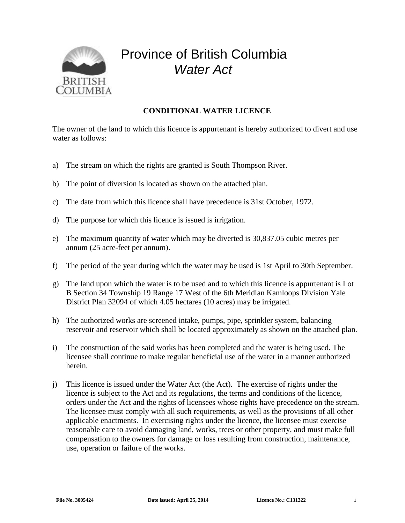

## Province of British Columbia *Water Act*

## **CONDITIONAL WATER LICENCE**

The owner of the land to which this licence is appurtenant is hereby authorized to divert and use water as follows:

- a) The stream on which the rights are granted is South Thompson River.
- b) The point of diversion is located as shown on the attached plan.
- c) The date from which this licence shall have precedence is 31st October, 1972.
- d) The purpose for which this licence is issued is irrigation.
- e) The maximum quantity of water which may be diverted is 30,837.05 cubic metres per annum (25 acre-feet per annum).
- f) The period of the year during which the water may be used is 1st April to 30th September.
- g) The land upon which the water is to be used and to which this licence is appurtenant is Lot B Section 34 Township 19 Range 17 West of the 6th Meridian Kamloops Division Yale District Plan 32094 of which 4.05 hectares (10 acres) may be irrigated.
- h) The authorized works are screened intake, pumps, pipe, sprinkler system, balancing reservoir and reservoir which shall be located approximately as shown on the attached plan.
- i) The construction of the said works has been completed and the water is being used. The licensee shall continue to make regular beneficial use of the water in a manner authorized herein.
- j) This licence is issued under the Water Act (the Act). The exercise of rights under the licence is subject to the Act and its regulations, the terms and conditions of the licence, orders under the Act and the rights of licensees whose rights have precedence on the stream. The licensee must comply with all such requirements, as well as the provisions of all other applicable enactments. In exercising rights under the licence, the licensee must exercise reasonable care to avoid damaging land, works, trees or other property, and must make full compensation to the owners for damage or loss resulting from construction, maintenance, use, operation or failure of the works.